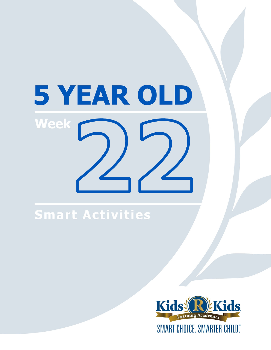# 5 YEAR OLD **Week**

# Smart Activities

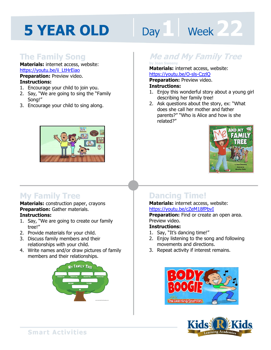## **The Family Song**

**Materials:** internet access, website: https://youtu.be/ii\_LtHrEiao

#### **Preparation: Preview video. Instructions:**

- 1. Encourage your child to join you.
- 2. Say, "We are going to sing the "Family Song!"
- 3. Encourage your child to sing along.



## **My Family Tree**

#### **Materials:** construction paper, crayons **Preparation:** Gather materials. **Instructions:**

- 1. Say, "We are going to create our family tree!"
- 2. Provide materials for your child.
- 3. Discuss family members and their relationships with your child.
- 4. Write names and/or draw pictures of family members and their relationships.



# Day 1 Week 22

# **Me and My Family Tree by Joan Sweeny**

#### **Materials:** internet access, website:

**1**<br>**1**<br>**11 April 11 April 11 April 11 April 11 April 11 April 11 April 11 April 11 April 11 April 11 April 11 April 11 April 11 April 11 April 11 April 11 April 11 April 11 April 11 April 11 April 11 April 11 April 11 Apr** https://youtu.be/O-sls-CzzlQ **Preparation:** Preview video.

#### **Instructions:**

- 1. Enjoy this wonderful story about a young girl describing her family tree!
- 2. Ask questions about the story, ex: "What does she call her mother and father parents?" "Who is Alice and how is she related?"



## **Dancing Time!**

#### **Materials:** internet access, website: https://youtu.be/cZeM18fPbvI

**Preparation:** Find or create an open area. Preview video.

#### **Instructions:**

- 1. Say, "It's dancing time!"
- 2. Enjoy listening to the song and following movements and directions.
- 3. Repeat activity if interest remains.





**Smart Activities**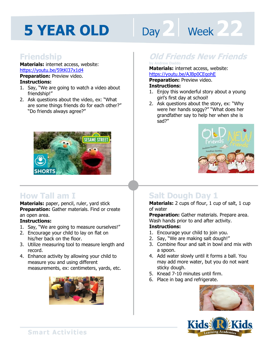# Day 2 **Week 222**

#### **Friendship**

**Materials:** internet access, website: https://youtu.be/59tKl37x1d4

**Preparation:** Preview video. **Instructions:** 

- 1. Say, "We are going to watch a video about friendship!"
- 2. Ask questions about the video, ex: "What are some things friends do for each other?" "Do friends always agree?"



### **How Tall am I**

**Materials:** paper, pencil, ruler, yard stick **Preparation:** Gather materials. Find or create an open area.

#### **Instructions:**

- 1. Say, "We are going to measure ourselves!"
- 2. Encourage your child to lay on flat on his/her back on the floor.
- 3. Utilize measuring tool to measure length and record.
- 4. Enhance activity by allowing your child to measure you and using different measurements, ex: centimeters, yards, etc.



## **Old Friends New Friends**

#### **by Andrew Daddo**

**Materials:** internet access, website: https://youtu.be/AJBp0CEgohE

**Preparation:** Preview video. **Instructions:** 

- 1. Enjoy this wonderful story about a young girl's first day at school!
- 2. Ask questions about the story, ex: "Why were her hands soggy?" "What does her grandfather say to help her when she is sad?"



# **Salt Dough Day 1**

**Materials:** 2 cups of flour, 1 cup of salt, 1 cup of water

**Preparation:** Gather materials. Prepare area. Wash hands prior to and after activity.

#### **Instructions:**

- 1. Encourage your child to join you.
- 2. Say, "We are making salt dough!"
- 3. Combine flour and salt in bowl and mix with a spoon.
- 4. Add water slowly until it forms a ball. You may add more water, but you do not want sticky dough.
- 5. Knead 7-10 minutes until firm.
- 6. Place in bag and refrigerate.



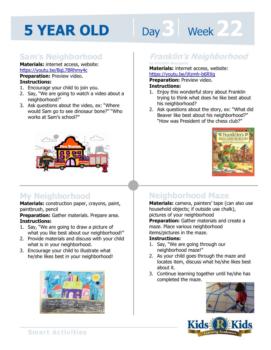# Day 3 **Week** 22

## **Sam's Neighborhood**

**Materials:** internet access, website: https://youtu.be/BqL7BRhmy4c **Preparation:** Preview video.

#### **Instructions:**

- 1. Encourage your child to join you.
- 2. Say, "We are going to watch a video about a neighborhood!"
- 3. Ask questions about the video, ex: "Where would Sam go to see dinosaur bone?" "Who works at Sam's school?"



### **My Neighborhood**

**Materials:** construction paper, crayons, paint, paintbrush, pencil

**Preparation:** Gather materials. Prepare area. **Instructions:** 

- 1. Say, "We are going to draw a picture of what you like best about our neighborhood!"
- 2. Provide materials and discuss with your child what is in your neighborhood.
- 3. Encourage your child to illustrate what he/she likes best in your neighborhood!



## **Franklin's Neighborhood**

#### **by Paulette Bourgeois**

**Materials:** internet access, website: https://youtu.be/jXzmh-b6RXg

**1 4 Preparation:** Preview video. **Instructions:** 

- 1. Enjoy this wonderful story about Franklin trying to think what does he like best about his neighborhood?
- 2. Ask questions about the story, ex: "What did Beaver like best about his neighborhood?" "How was President of the chess club?"



## **Neighborhood Maze**

**Materials:** camera, painters' tape (can also use household objects; if outside use chalk), pictures of your neighborhood **Preparation:** Gather materials and create a maze. Place various neighborhood items/pictures in the maze.

#### **Instructions:**

- 1. Say, "We are going through our neighborhood maze!"
- 2. As your child goes through the maze and locates item, discuss what he/she likes best about it.
- 3. Continue learning together until he/she has completed the maze.



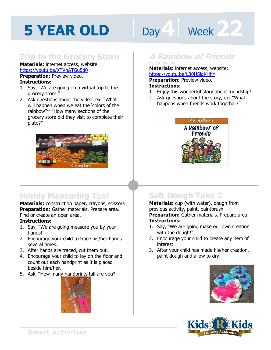# Day **4 Week 222**

## **Trip to the Grocery Store**

#### **Materials:** internet access, website: https://youtu.be/XTVnATGu5d0

**Preparation:** Preview video. **Instructions:** 

- 1. Say, "We are going on a virtual trip to the grocery store!"
- 2. Ask questions about the video, ex: "What will happen when we eat the 'colors of the rainbow?'" "How many sections of the grocery store did they visit to complete their plate?"



# **Handy Measuring Tool**

**Materials:** construction paper, crayons, scissors **Preparation:** Gather materials. Prepare area. Find or create an open area.

#### **Instructions:**

- 1. Say, "We are going measure you by your hands!"
- 2. Encourage your child to trace his/her hands several times.
- 3. After hands are traced, cut them out.
- 4. Encourage your child to lay on the floor and count out each handprint as it is placed beside him/her.
- 5. Ask, "How many handprints tall are you?"



# **A Rainbow of Friends by P.K Halinan**

**Materials:** internet access, website: https://youtu.be/L30HSigKHhY

**Preparation:** Preview video. **Instructions:** 

- 1. Enjoy this wonderful story about friendship!
- 2. Ask questions about the story, ex: "What happens when friends work together?"



# **Salt Dough Take 2**

**Materials:** cup (with water), dough from previous activity, paint, paintbrush **Preparation:** Gather materials. Prepare area. **Instructions:** 

- 1. Say, "We are going make our own creation with the dough!"
- 2. Encourage your child to create any item of interest.
- 3. After your child has made his/her creation, paint dough and allow to dry.